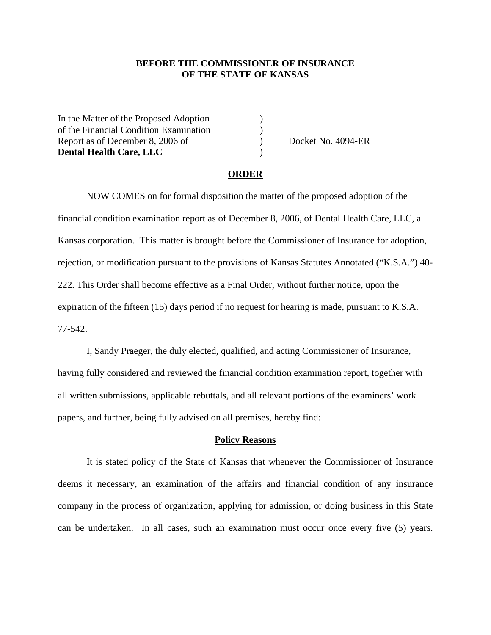## **BEFORE THE COMMISSIONER OF INSURANCE OF THE STATE OF KANSAS**

In the Matter of the Proposed Adoption ) of the Financial Condition Examination ) Report as of December 8, 2006 of  $Dosek$  Docket No. 4094-ER **Dental Health Care, LLC** )

#### **ORDER**

NOW COMES on for formal disposition the matter of the proposed adoption of the financial condition examination report as of December 8, 2006, of Dental Health Care, LLC, a Kansas corporation. This matter is brought before the Commissioner of Insurance for adoption, rejection, or modification pursuant to the provisions of Kansas Statutes Annotated ("K.S.A.") 40- 222. This Order shall become effective as a Final Order, without further notice, upon the expiration of the fifteen (15) days period if no request for hearing is made, pursuant to K.S.A. 77-542.

I, Sandy Praeger, the duly elected, qualified, and acting Commissioner of Insurance, having fully considered and reviewed the financial condition examination report, together with all written submissions, applicable rebuttals, and all relevant portions of the examiners' work papers, and further, being fully advised on all premises, hereby find:

#### **Policy Reasons**

 It is stated policy of the State of Kansas that whenever the Commissioner of Insurance deems it necessary, an examination of the affairs and financial condition of any insurance company in the process of organization, applying for admission, or doing business in this State can be undertaken. In all cases, such an examination must occur once every five (5) years.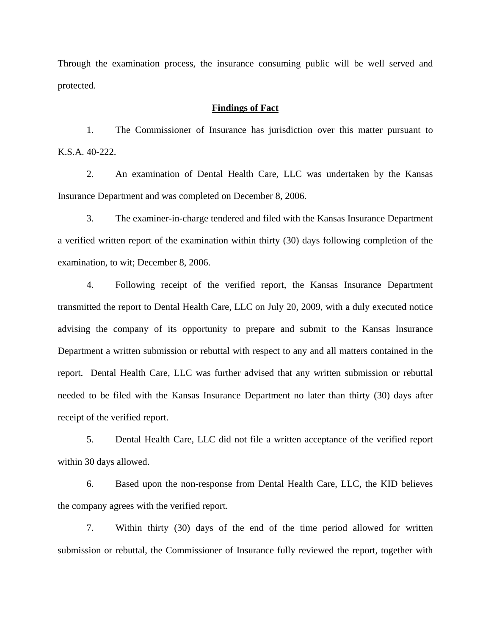Through the examination process, the insurance consuming public will be well served and protected.

### **Findings of Fact**

 1. The Commissioner of Insurance has jurisdiction over this matter pursuant to K.S.A. 40-222.

 2. An examination of Dental Health Care, LLC was undertaken by the Kansas Insurance Department and was completed on December 8, 2006.

 3. The examiner-in-charge tendered and filed with the Kansas Insurance Department a verified written report of the examination within thirty (30) days following completion of the examination, to wit; December 8, 2006.

 4. Following receipt of the verified report, the Kansas Insurance Department transmitted the report to Dental Health Care, LLC on July 20, 2009, with a duly executed notice advising the company of its opportunity to prepare and submit to the Kansas Insurance Department a written submission or rebuttal with respect to any and all matters contained in the report. Dental Health Care, LLC was further advised that any written submission or rebuttal needed to be filed with the Kansas Insurance Department no later than thirty (30) days after receipt of the verified report.

 5. Dental Health Care, LLC did not file a written acceptance of the verified report within 30 days allowed.

6. Based upon the non-response from Dental Health Care, LLC, the KID believes the company agrees with the verified report.

 7. Within thirty (30) days of the end of the time period allowed for written submission or rebuttal, the Commissioner of Insurance fully reviewed the report, together with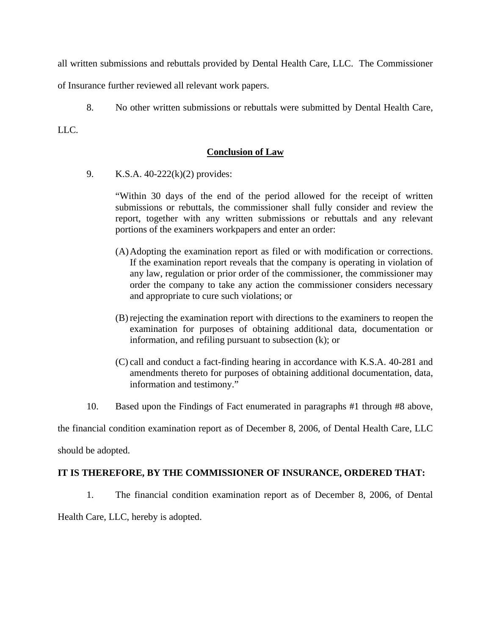all written submissions and rebuttals provided by Dental Health Care, LLC. The Commissioner

of Insurance further reviewed all relevant work papers.

8. No other written submissions or rebuttals were submitted by Dental Health Care,

LLC.

## **Conclusion of Law**

9. K.S.A. 40-222(k)(2) provides:

"Within 30 days of the end of the period allowed for the receipt of written submissions or rebuttals, the commissioner shall fully consider and review the report, together with any written submissions or rebuttals and any relevant portions of the examiners workpapers and enter an order:

- (A) Adopting the examination report as filed or with modification or corrections. If the examination report reveals that the company is operating in violation of any law, regulation or prior order of the commissioner, the commissioner may order the company to take any action the commissioner considers necessary and appropriate to cure such violations; or
- (B) rejecting the examination report with directions to the examiners to reopen the examination for purposes of obtaining additional data, documentation or information, and refiling pursuant to subsection (k); or
- (C) call and conduct a fact-finding hearing in accordance with K.S.A. 40-281 and amendments thereto for purposes of obtaining additional documentation, data, information and testimony."
- 10. Based upon the Findings of Fact enumerated in paragraphs #1 through #8 above,

the financial condition examination report as of December 8, 2006, of Dental Health Care, LLC

should be adopted.

## **IT IS THEREFORE, BY THE COMMISSIONER OF INSURANCE, ORDERED THAT:**

1. The financial condition examination report as of December 8, 2006, of Dental

Health Care, LLC, hereby is adopted.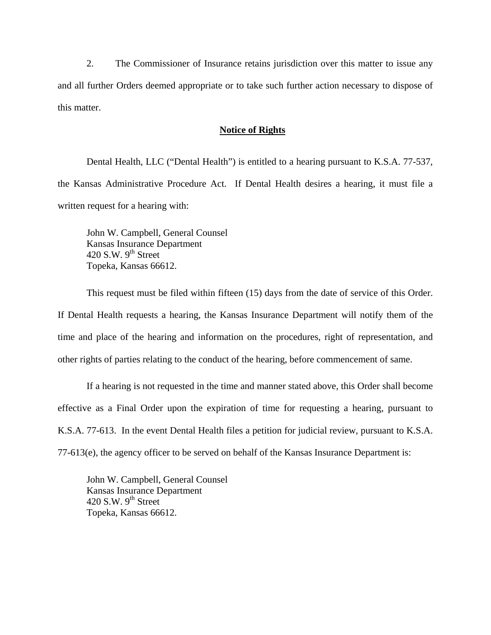2. The Commissioner of Insurance retains jurisdiction over this matter to issue any and all further Orders deemed appropriate or to take such further action necessary to dispose of this matter.

## **Notice of Rights**

Dental Health, LLC ("Dental Health") is entitled to a hearing pursuant to K.S.A. 77-537, the Kansas Administrative Procedure Act. If Dental Health desires a hearing, it must file a written request for a hearing with:

John W. Campbell, General Counsel Kansas Insurance Department 420 S.W.  $9<sup>th</sup>$  Street Topeka, Kansas 66612.

This request must be filed within fifteen (15) days from the date of service of this Order. If Dental Health requests a hearing, the Kansas Insurance Department will notify them of the time and place of the hearing and information on the procedures, right of representation, and other rights of parties relating to the conduct of the hearing, before commencement of same.

If a hearing is not requested in the time and manner stated above, this Order shall become effective as a Final Order upon the expiration of time for requesting a hearing, pursuant to K.S.A. 77-613. In the event Dental Health files a petition for judicial review, pursuant to K.S.A. 77-613(e), the agency officer to be served on behalf of the Kansas Insurance Department is:

John W. Campbell, General Counsel Kansas Insurance Department 420 S.W.  $9^{th}$  Street Topeka, Kansas 66612.